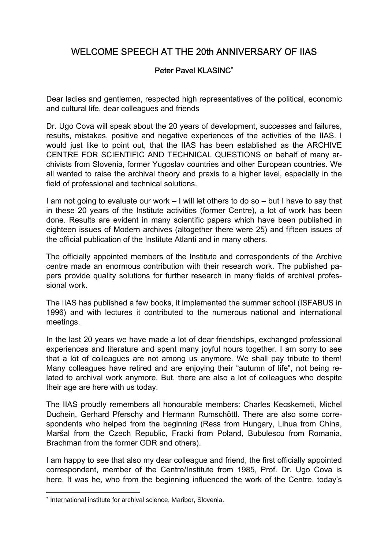## WELCOME SPEECH AT THE 20th ANNIVERSARY OF IIAS

## Peter Pavel KLASINC<sup>\*</sup>

Dear ladies and gentlemen, respected high representatives of the political, economic and cultural life, dear colleagues and friends

Dr. Ugo Cova will speak about the 20 years of development, successes and failures, results, mistakes, positive and negative experiences of the activities of the IIAS. I would just like to point out, that the IIAS has been established as the ARCHIVE CENTRE FOR SCIENTIFIC AND TECHNICAL QUESTIONS on behalf of many archivists from Slovenia, former Yugoslav countries and other European countries. We all wanted to raise the archival theory and praxis to a higher level, especially in the field of professional and technical solutions.

I am not going to evaluate our work – I will let others to do so – but I have to say that in these 20 years of the Institute activities (former Centre), a lot of work has been done. Results are evident in many scientific papers which have been published in eighteen issues of Modern archives (altogether there were 25) and fifteen issues of the official publication of the Institute Atlanti and in many others.

The officially appointed members of the Institute and correspondents of the Archive centre made an enormous contribution with their research work. The published papers provide quality solutions for further research in many fields of archival professional work.

The IIAS has published a few books, it implemented the summer school (ISFABUS in 1996) and with lectures it contributed to the numerous national and international meetings.

In the last 20 years we have made a lot of dear friendships, exchanged professional experiences and literature and spent many joyful hours together. I am sorry to see that a lot of colleagues are not among us anymore. We shall pay tribute to them! Many colleagues have retired and are enjoying their "autumn of life", not being related to archival work anymore. But, there are also a lot of colleagues who despite their age are here with us today.

The IIAS proudly remembers all honourable members: Charles Kecskemeti, Michel Duchein, Gerhard Pferschy and Hermann Rumschöttl. There are also some correspondents who helped from the beginning (Ress from Hungary, Lihua from China, Maršal from the Czech Republic, Fracki from Poland, Bubulescu from Romania, Brachman from the former GDR and others).

I am happy to see that also my dear colleague and friend, the first officially appointed correspondent, member of the Centre/Institute from 1985, Prof. Dr. Ugo Cova is here. It was he, who from the beginning influenced the work of the Centre, today's

 $\overline{a}$ 

<sup>∗</sup> International institute for archival science, Maribor, Slovenia.